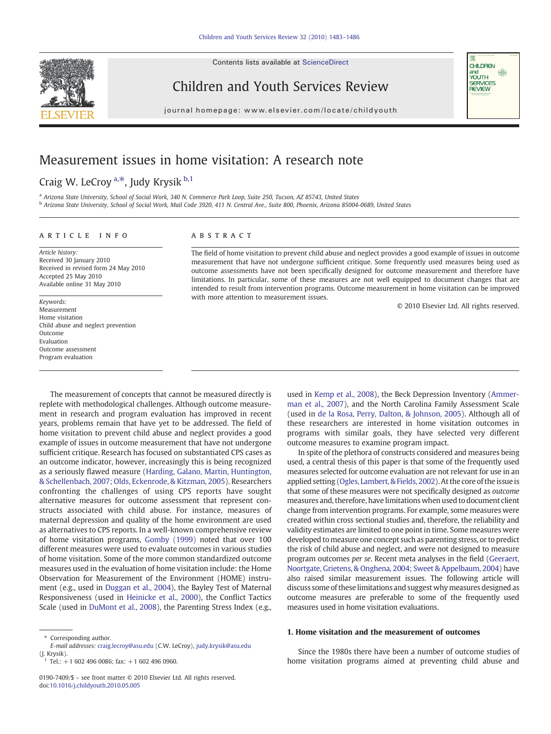Contents lists available at [ScienceDirect](http://www.sciencedirect.com/science/journal/01907409)



Children and Youth Services Review



journal homepage: www.elsevier.com/locate/childyouth

# Measurement issues in home visitation: A research note

## Craig W. LeCroy<sup>a,\*</sup>, Judy Krysik<sup>b,1</sup>

a Arizona State University, School of Social Work, 340 N. Commerce Park Loop, Suite 250, Tucson, AZ 85743, United States <sup>b</sup> Arizona State University, School of Social Work, Mail Code 3920, 411 N. Central Ave., Suite 800, Phoenix, Arizona 85004-0689, United States

#### article info abstract

Article history: Received 30 January 2010 Received in revised form 24 May 2010 Accepted 25 May 2010 Available online 31 May 2010

Keywords: Measurement Home visitation Child abuse and neglect prevention Outcome Evaluation Outcome assessment Program evaluation

The field of home visitation to prevent child abuse and neglect provides a good example of issues in outcome measurement that have not undergone sufficient critique. Some frequently used measures being used as outcome assessments have not been specifically designed for outcome measurement and therefore have limitations. In particular, some of these measures are not well equipped to document changes that are intended to result from intervention programs. Outcome measurement in home visitation can be improved with more attention to measurement issues.

© 2010 Elsevier Ltd. All rights reserved.

The measurement of concepts that cannot be measured directly is replete with methodological challenges. Although outcome measurement in research and program evaluation has improved in recent years, problems remain that have yet to be addressed. The field of home visitation to prevent child abuse and neglect provides a good example of issues in outcome measurement that have not undergone sufficient critique. Research has focused on substantiated CPS cases as an outcome indicator, however, increasingly this is being recognized as a seriously flawed measure ([Harding, Galano, Martin, Huntington,](#page-2-0) [& Schellenbach, 2007; Olds, Eckenrode, & Kitzman, 2005](#page-2-0)). Researchers confronting the challenges of using CPS reports have sought alternative measures for outcome assessment that represent constructs associated with child abuse. For instance, measures of maternal depression and quality of the home environment are used as alternatives to CPS reports. In a well-known comprehensive review of home visitation programs, [Gomby \(1999\)](#page-2-0) noted that over 100 different measures were used to evaluate outcomes in various studies of home visitation. Some of the more common standardized outcome measures used in the evaluation of home visitation include: the Home Observation for Measurement of the Environment (HOME) instrument (e.g., used in [Duggan et al., 2004\)](#page-2-0), the Bayley Test of Maternal Responsiveness (used in [Heinicke et al., 2000\)](#page-2-0), the Conflict Tactics Scale (used in [DuMont et al., 2008](#page-2-0)), the Parenting Stress Index (e.g.,

used in [Kemp et al., 2008\)](#page-3-0), the Beck Depression Inventory [\(Ammer](#page-2-0)[man et al., 2007\)](#page-2-0), and the North Carolina Family Assessment Scale (used in [de la Rosa, Perry, Dalton, & Johnson, 2005\)](#page-2-0). Although all of these researchers are interested in home visitation outcomes in programs with similar goals, they have selected very different outcome measures to examine program impact.

In spite of the plethora of constructs considered and measures being used, a central thesis of this paper is that some of the frequently used measures selected for outcome evaluation are not relevant for use in an applied setting [\(Ogles, Lambert, & Fields, 2002](#page-3-0)). At the core of the issue is that some of these measures were not specifically designed as outcome measures and, therefore, have limitations when used to document client change from intervention programs. For example, some measures were created within cross sectional studies and, therefore, the reliability and validity estimates are limited to one point in time. Some measures were developed to measure one concept such as parenting stress, or to predict the risk of child abuse and neglect, and were not designed to measure program outcomes per se. Recent meta analyses in the field [\(Geeraert,](#page-2-0) [Noortgate, Grietens, & Onghena, 2004; Sweet & Appelbaum, 2004](#page-2-0)) have also raised similar measurement issues. The following article will discuss some of these limitations and suggest why measures designed as outcome measures are preferable to some of the frequently used measures used in home visitation evaluations.

### 1. Home visitation and the measurement of outcomes

Since the 1980s there have been a number of outcome studies of home visitation programs aimed at preventing child abuse and

<sup>⁎</sup> Corresponding author.

E-mail addresses: [craig.lecroy@asu.edu](mailto:craig.lecroy@asu.edu) (C.W. LeCroy), [judy.krysik@asu.edu](mailto:judy.krysik@asu.edu) (J. Krysik).

Tel.:  $+1$  602 496 0086; fax:  $+1$  602 496 0960.

<sup>0190-7409/\$</sup> – see front matter © 2010 Elsevier Ltd. All rights reserved. doi:[10.1016/j.childyouth.2010.05.005](http://dx.doi.org/10.1016/j.childyouth.2010.05.005)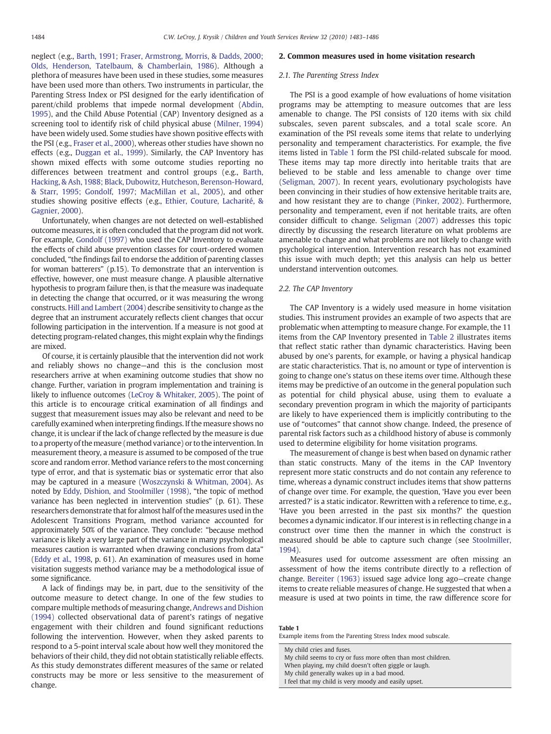neglect (e.g., [Barth, 1991; Fraser, Armstrong, Morris, & Dadds, 2000;](#page-2-0) [Olds, Henderson, Tatelbaum, & Chamberlain, 1986](#page-2-0)). Although a plethora of measures have been used in these studies, some measures have been used more than others. Two instruments in particular, the Parenting Stress Index or PSI designed for the early identification of parent/child problems that impede normal development [\(Abdin,](#page-2-0) [1995\)](#page-2-0), and the Child Abuse Potential (CAP) Inventory designed as a screening tool to identify risk of child physical abuse [\(Milner, 1994](#page-3-0)) have been widely used. Some studies have shown positive effects with the PSI (e.g., [Fraser et al., 2000](#page-2-0)), whereas other studies have shown no effects (e.g., [Duggan et al., 1999\)](#page-2-0). Similarly, the CAP Inventory has shown mixed effects with some outcome studies reporting no differences between treatment and control groups (e.g., [Barth,](#page-2-0) [Hacking, & Ash, 1988; Black, Dubowitz, Hutcheson, Berenson-Howard,](#page-2-0) [& Starr, 1995; Gondolf, 1997; MacMillan et al., 2005](#page-2-0)), and other studies showing positive effects (e.g., [Ethier, Couture, Lacharité, &](#page-2-0) [Gagnier, 2000\)](#page-2-0).

Unfortunately, when changes are not detected on well-established outcome measures, it is often concluded that the program did not work. For example, [Gondolf \(1997\)](#page-2-0) who used the CAP Inventory to evaluate the effects of child abuse prevention classes for court-ordered women concluded, "the findings fail to endorse the addition of parenting classes for woman batterers" (p.15). To demonstrate that an intervention is effective, however, one must measure change. A plausible alternative hypothesis to program failure then, is that the measure was inadequate in detecting the change that occurred, or it was measuring the wrong constructs. [Hill and Lambert \(2004\)](#page-3-0) describe sensitivity to change as the degree that an instrument accurately reflects client changes that occur following participation in the intervention. If a measure is not good at detecting program-related changes, this might explain why the findings are mixed.

Of course, it is certainly plausible that the intervention did not work and reliably shows no change—and this is the conclusion most researchers arrive at when examining outcome studies that show no change. Further, variation in program implementation and training is likely to influence outcomes ([LeCroy & Whitaker, 2005\)](#page-3-0). The point of this article is to encourage critical examination of all findings and suggest that measurement issues may also be relevant and need to be carefully examined when interpreting findings. If the measure shows no change, it is unclear if the lack of change reflected by the measure is due to a property of the measure (method variance) or to the intervention. In measurement theory, a measure is assumed to be composed of the true score and random error. Method variance refers to the most concerning type of error, and that is systematic bias or systematic error that also may be captured in a measure [\(Woszczynski & Whitman, 2004\)](#page-3-0). As noted by [Eddy, Dishion, and Stoolmiller \(1998\),](#page-2-0) "the topic of method variance has been neglected in intervention studies" (p. 61). These researchers demonstrate that for almost half of the measures used in the Adolescent Transitions Program, method variance accounted for approximately 50% of the variance. They conclude: "because method variance is likely a very large part of the variance in many psychological measures caution is warranted when drawing conclusions from data" [\(Eddy et al., 1998,](#page-2-0) p. 61). An examination of measures used in home visitation suggests method variance may be a methodological issue of some significance.

A lack of findings may be, in part, due to the sensitivity of the outcome measure to detect change. In one of the few studies to compare multiple methods of measuring change, [Andrews and Dishion](#page-2-0) [\(1994\)](#page-2-0) collected observational data of parent's ratings of negative engagement with their children and found significant reductions following the intervention. However, when they asked parents to respond to a 5-point interval scale about how well they monitored the behaviors of their child, they did not obtain statistically reliable effects. As this study demonstrates different measures of the same or related constructs may be more or less sensitive to the measurement of change.

#### 2. Common measures used in home visitation research

#### 2.1. The Parenting Stress Index

The PSI is a good example of how evaluations of home visitation programs may be attempting to measure outcomes that are less amenable to change. The PSI consists of 120 items with six child subscales, seven parent subscales, and a total scale score. An examination of the PSI reveals some items that relate to underlying personality and temperament characteristics. For example, the five items listed in Table 1 form the PSI child-related subscale for mood. These items may tap more directly into heritable traits that are believed to be stable and less amenable to change over time [\(Seligman, 2007](#page-3-0)). In recent years, evolutionary psychologists have been convincing in their studies of how extensive heritable traits are, and how resistant they are to change ([Pinker, 2002](#page-3-0)). Furthermore, personality and temperament, even if not heritable traits, are often consider difficult to change. [Seligman \(2007\)](#page-3-0) addresses this topic directly by discussing the research literature on what problems are amenable to change and what problems are not likely to change with psychological intervention. Intervention research has not examined this issue with much depth; yet this analysis can help us better understand intervention outcomes.

#### 2.2. The CAP Inventory

The CAP Inventory is a widely used measure in home visitation studies. This instrument provides an example of two aspects that are problematic when attempting to measure change. For example, the 11 items from the CAP Inventory presented in [Table 2](#page-2-0) illustrates items that reflect static rather than dynamic characteristics. Having been abused by one's parents, for example, or having a physical handicap are static characteristics. That is, no amount or type of intervention is going to change one's status on these items over time. Although these items may be predictive of an outcome in the general population such as potential for child physical abuse, using them to evaluate a secondary prevention program in which the majority of participants are likely to have experienced them is implicitly contributing to the use of "outcomes" that cannot show change. Indeed, the presence of parental risk factors such as a childhood history of abuse is commonly used to determine eligibility for home visitation programs.

The measurement of change is best when based on dynamic rather than static constructs. Many of the items in the CAP Inventory represent more static constructs and do not contain any reference to time, whereas a dynamic construct includes items that show patterns of change over time. For example, the question, 'Have you ever been arrested?' is a static indicator. Rewritten with a reference to time, e.g., 'Have you been arrested in the past six months?' the question becomes a dynamic indicator. If our interest is in reflecting change in a construct over time then the manner in which the construct is measured should be able to capture such change (see [Stoolmiller,](#page-3-0) [1994\)](#page-3-0).

Measures used for outcome assessment are often missing an assessment of how the items contribute directly to a reflection of change. [Bereiter \(1963\)](#page-2-0) issued sage advice long ago—create change items to create reliable measures of change. He suggested that when a measure is used at two points in time, the raw difference score for

Table 1 Example items from the Parenting Stress Index mood subscale.

My child cries and fuses.

My child seems to cry or fuss more often than most children. When playing, my child doesn't often giggle or laugh. My child generally wakes up in a bad mood.

I feel that my child is very moody and easily upset.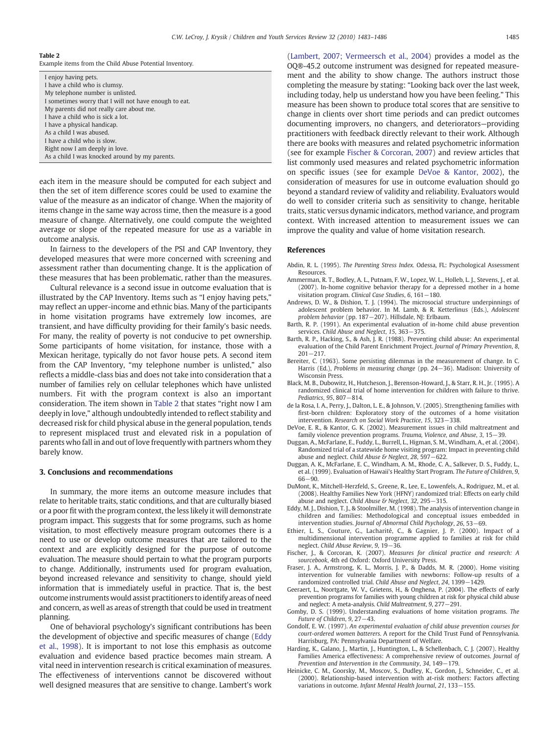#### <span id="page-2-0"></span>Table 2

Example items from the Child Abuse Potential Inventory.

| I enjoy having pets.                                  |  |
|-------------------------------------------------------|--|
| I have a child who is clumsy.                         |  |
| My telephone number is unlisted.                      |  |
| I sometimes worry that I will not have enough to eat. |  |
| My parents did not really care about me.              |  |
| I have a child who is sick a lot.                     |  |
| I have a physical handicap.                           |  |
| As a child I was abused.                              |  |
| I have a child who is slow.                           |  |
| Right now I am deeply in love.                        |  |
| As a child I was knocked around by my parents.        |  |

each item in the measure should be computed for each subject and then the set of item difference scores could be used to examine the value of the measure as an indicator of change. When the majority of items change in the same way across time, then the measure is a good measure of change. Alternatively, one could compute the weighted average or slope of the repeated measure for use as a variable in outcome analysis.

In fairness to the developers of the PSI and CAP Inventory, they developed measures that were more concerned with screening and assessment rather than documenting change. It is the application of these measures that has been problematic, rather than the measures.

Cultural relevance is a second issue in outcome evaluation that is illustrated by the CAP Inventory. Items such as "I enjoy having pets," may reflect an upper-income and ethnic bias. Many of the participants in home visitation programs have extremely low incomes, are transient, and have difficulty providing for their family's basic needs. For many, the reality of poverty is not conducive to pet ownership. Some participants of home visitation, for instance, those with a Mexican heritage, typically do not favor house pets. A second item from the CAP Inventory, "my telephone number is unlisted," also reflects a middle-class bias and does not take into consideration that a number of families rely on cellular telephones which have unlisted numbers. Fit with the program context is also an important consideration. The item shown in Table 2 that states "right now I am deeply in love," although undoubtedly intended to reflect stability and decreased risk for child physical abuse in the general population, tends to represent misplaced trust and elevated risk in a population of parents who fall in and out of love frequently with partners whom they barely know.

#### 3. Conclusions and recommendations

In summary, the more items an outcome measure includes that relate to heritable traits, static conditions, and that are culturally biased or a poor fit with the program context, the less likely it will demonstrate program impact. This suggests that for some programs, such as home visitation, to most effectively measure program outcomes there is a need to use or develop outcome measures that are tailored to the context and are explicitly designed for the purpose of outcome evaluation. The measure should pertain to what the program purports to change. Additionally, instruments used for program evaluation, beyond increased relevance and sensitivity to change, should yield information that is immediately useful in practice. That is, the best outcome instruments would assist practitioners to identify areas of need and concern, as well as areas of strength that could be used in treatment planning.

One of behavioral psychology's significant contributions has been the development of objective and specific measures of change (Eddy et al., 1998). It is important to not lose this emphasis as outcome evaluation and evidence based practice becomes main stream. A vital need in intervention research is critical examination of measures. The effectiveness of interventions cannot be discovered without well designed measures that are sensitive to change. Lambert's work

[\(Lambert, 2007; Vermeersch et al., 2004\)](#page-3-0) provides a model as the OQ®-45.2 outcome instrument was designed for repeated measurement and the ability to show change. The authors instruct those completing the measure by stating: "Looking back over the last week, including today, help us understand how you have been feeling." This measure has been shown to produce total scores that are sensitive to change in clients over short time periods and can predict outcomes documenting improvers, no changers, and deteriorators—providing practitioners with feedback directly relevant to their work. Although there are books with measures and related psychometric information (see for example Fischer & Corcoran, 2007) and review articles that list commonly used measures and related psychometric information on specific issues (see for example DeVoe & Kantor, 2002), the consideration of measures for use in outcome evaluation should go beyond a standard review of validity and reliability. Evaluators would do well to consider criteria such as sensitivity to change, heritable traits, static versus dynamic indicators, method variance, and program context. With increased attention to measurement issues we can improve the quality and value of home visitation research.

#### References

- Abdin, R. L. (1995). The Parenting Stress Index. Odessa, FL: Psychological Assessment **Resources**
- Ammerman, R. T., Bodley, A. L., Putnam, F. W., Lopez, W. L., Holleb, L. J., Stevens, J., et al. (2007). In-home cognitive behavior therapy for a depressed mother in a home visitation program. Clinical Case Studies, 6, 161−180.
- Andrews, D. W., & Dishion, T. J. (1994). The microsocial structure underpinnings of adolescent problem behavior. In M. Lamb, & R. Ketterlinus (Eds.), Adolescent problem behavior (pp. 187−207). Hillsdale, NJ: Erlbaum.
- Barth, R. P. (1991). An experimental evaluation of in-home child abuse prevention services. Child Abuse and Neglect, 15, 363−375.
- Barth, R. P., Hacking, S., & Ash, J. R. (1988). Preventing child abuse: An experimental evaluation of the Child Parent Enrichment Project. Journal of Primary Prevention, 8, 201−217.
- Bereiter, C. (1963). Some persisting dilemmas in the measurement of change. In C. Harris (Ed.), Problems in measuring change (pp. 24−36). Madison: University of Wisconsin Press.
- Black, M. B., Dubowitz, H., Hutcheson, J., Berenson-Howard, J., & Starr, R. H., Jr. (1995). A randomized clinical trial of home intervention for children with failure to thrive. Pediatrics, 95, 807−814.
- de la Rosa, I. A., Perry, J., Dalton, L. E., & Johnson, V. (2005). Strengthening families with first-born children: Exploratory story of the outcomes of a home visitation intervention. Research on Social Work Practice, 15, 323−338.
- DeVoe, E. R., & Kantor, G. K. (2002). Measurement issues in child maltreatment and family violence prevention programs. Trauma, Violence, and Abuse, 3, 15−39.
- Duggan, A., McFarlane, E., Fuddy, L., Burrell, L., Higman, S. M., Windham, A., et al. (2004). Randomized trial of a statewide home visiting program: Impact in preventing child abuse and neglect. Child Abuse & Neglect, 28, 597−622.
- Duggan, A. K., McFarlane, E. C., Windham, A. M., Rhode, C. A., Salkever, D. S., Fuddy, L., et al. (1999). Evaluation of Hawaii's Healthy Start Program. The Future of Children, 9, 66−90.
- DuMont, K., Mitchell-Herzfeld, S., Greene, R., Lee, E., Lowenfels, A., Rodriguez, M., et al. (2008). Healthy Families New York (HFNY) randomized trial: Effects on early child abuse and neglect. Child Abuse & Neglect, 32, 295−315.
- Eddy, M. J., Dishion, T. J., & Stoolmiller, M. (1998). The analysis of intervention change in children and families: Methodological and conceptual issues embedded in intervention studies. Journal of Abnormal Child Psychology, 26, 53−69.
- Ethier, L. S., Couture, G., Lacharité, C., & Gagnier, J. P. (2000). Impact of a multidimensional intervention programme applied to families at risk for child neglect. Child Abuse Review, 9, 19−36.
- Fischer, J., & Corcoran, K. (2007). Measures for clinical practice and research: A sourcebook, 4th ed Oxford: Oxford University Press.
- Fraser, J. A., Armstrong, K. L., Morris, J. P., & Dadds, M. R. (2000). Home visiting intervention for vulnerable families with newborns: Follow-up results of a randomized controlled trial. Child Abuse and Neglect, 24, 1399−1429.
- Geeraert, L., Noortgate, W. V., Grietens, H., & Onghena, P. (2004). The effects of early prevention programs for families with young children at risk for physical child abuse and neglect: A meta-analysis. Child Maltreatment, 9, 277−291.
- Gomby, D. S. (1999). Understanding evaluations of home visitation programs. The Future of Children, 9, 27−43.
- Gondolf, E. W. (1997). An experimental evaluation of child abuse prevention courses for court-ordered women batterers. A report for the Child Trust Fund of Pennsylvania. Harrisburg, PA: Pennsylvania Department of Welfare.
- Harding, K., Galano, J., Martin, J., Huntington, L., & Schellenbach, C. J. (2007). Healthy Families America effectiveness: A comprehensive review of outcomes. Journal of Prevention and Intervention in the Community, 34, 149−179.
- Heinicke, C. M., Goorsky, M., Moscov, S., Dudley, K., Gordon, J., Schneider, C., et al. (2000). Relationship-based intervention with at-risk mothers: Factors affecting variations in outcome. Infant Mental Health Journal, 21, 133−155.